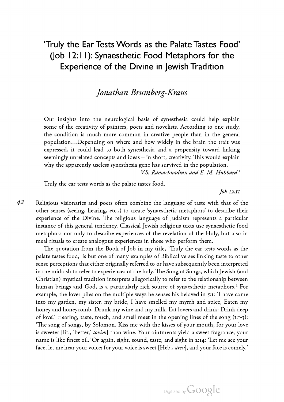# 'Truly the EarTests Words as the Palate Tastes Food' (Job 12:11): Synaesthetic Food Metaphors for the Experience of the Divine in Jewish Tradition

# Jonathan Brumberg-Kraus

Our insights into the neurological basis of synesthesia could help explain some of the creativity of painters, poets and novelists. According to one study, the condition is much more common in creative people than in the general population…Depending on where and how widely in the brain the trait was expressed, it could lead to both synesthesia and a propensity toward linking seemingly unrelated concepts and ideas – in short, creativity. This would explain why the apparently useless synesthesia gene has survived in the population.

V.S. Ramachnadran and E. M. Hubbard<sup>1</sup>

Truly the ear tests words as the palate tastes food.

 $\int$ *lob*  $12:11$ 

42 Religious visionaries and poets often combine the language of taste with that of the other senses (seeing, hearing, etc.,) to create 'synaesthetic metaphors' to describe their experience of the Divine. The religious language of Judaism represents a particular instance of this general tendency. Classical Jewish religious texts use synaesthetic food metaphors not only to describe experiences of the revelation of the Holy, but also in meal rituals to create analogous experiences in those who perform them.

The quotation from the Book of Job in my title, 'Truly the ear tests words as the palate tastes food,' is but one of many examples of Biblical verses linking taste to other sense perceptions that either originally referred to or have subsequently been interpreted in the midrash to refer to experiences of the holy. The Song of Songs, which Jewish (and Christian) mystical tradition interprets allegorically to refer to the relationship between human beings and God, is a particularly rich source of synaesthetic metaphors.<sup>2</sup> For example, the lover piles on the multiple ways he senses his beloved in 5:1: 'I have come into my garden, my sister, my bride, <sup>I</sup> have smelled my myrrh and spice, Eaten my honey and honeycomb, Drunk my wine and my milk. Eat lovers and drink: Drink deep of love!' Hearing, taste, touch, and smell meet in the opening lines of the song (1:1-3): 'The song of songs, by Solomon. Kiss me with the kisses of your mouth, for your love is sweeter [lit., 'better,' tovim] than wine. Your ointments yield a sweet fragrance, your name is like finest oil.' Or again, sight, sound, taste, and sight in 2:14: 'Let me see your face, let me hear your voice; for your voice is sweet [Heb., arev], and your face is comely.'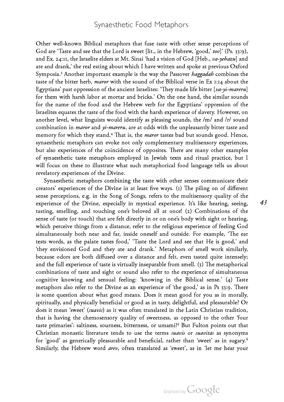Other well-known Biblical metaphors that fuse taste with other sense perceptions of God are 'Taste and see that the Lord is sweet [lit., in the Hebrew, 'good,' tov]' (Ps. 33:9), and Ex. 24:11, the Israelite elders at Mt. Sinai 'had a vision of God [Heb., v*a-yehazu*] and ate and drank,' the real eating about which <sup>I</sup> have written and spoke at previous Oxford Symposia.<sup>3</sup> Another important example is the way the Passover *haggadah* combines the taste of the bitter herb, *maror* with the sound of the Biblical verse in Ex 1:14 about the Egyptians' past oppression of the ancient Israelites: 'They made life bitter  $[va-yi-mareru]$ for them with harsh labor at mortar and bricks.' On the one hand, the similar sounds for the name of the food and the Hebrew verb for the Egyptians' oppression of the Israelites equates the taste of the food with the harsh experience of slavery. However, on another level, what linguists would identify as pleasing sounds, the /m/ and /r/ sound combination in *maror* and *yi-mareru*, are at odds with the unpleasantly bitter taste and<br>memory for which they stand.<sup>4</sup> That is, the *maror* tastes bad but sounds good. Hence, synaesthetic metaphors can evoke not only complementary multisensory experiences, but also experiences of the coincidence of opposites. There are many other examples of synaesthetic taste metaphors employed in Jewish texts and ritual practice, but <sup>I</sup> will focus on these to illustrate what such metaphorical food language tells us about revelatory experiences of the Divine.

Synaesthetic metaphors combining the taste with other senses communicate their creators' experiences of the Divine in at least five ways. (1) The piling on of different sense perceptions, e.g. in the Song of Songs, refers to the multisensory quality of the experience of the Divine, especially in mystical experience. It's like hearing, seeing, tasting, smelling, and touching one's beloved all at once! (2) Combinations of the sense of taste (or touch) that are felt directly in or on one's body with sight or hearing, which perceive things from <sup>a</sup> distance, refer to the religious experience of feeling God simultaneously both near and far, inside oneself and outside. For example, 'The ear tests words, as the palate tastes food,' 'Taste the Lord and see that He is good,' and 'they envisioned God and they ate and drank.' Metaphors of smell work similarly, because odors are both diffused over a distance and felt, even tasted quite intensely; and the full experience of taste is virtually inseparable from smell. (3) The metaphorical combinations of taste and sight or sound also refer to the experience of simultaneous cognitive knowing and sensual feeling: 'knowing in the Biblical sense.' (4) Taste metaphors also refer to the Divine as an experience of 'the good,' as in Ps 33:9. There is some question about what good means. Does it mean good for you as in morally, spiritually, and physically beneficial or good as in tasty, delightful, and pleasurable? Or does it mean 'sweet' (suavis) as it was often translated in the Latin Christian tradition, that is having the chemosensory quality of sweetness, as opposed to the other 'four taste primaries': saltiness, sourness, bitterness, or umami?5 But Fulton points out that Christian monastic literature tends to use the terms *suavis* or *suavitas* as synonyms for 'good' as generically pleasurable and beneficial, rather than 'sweet' as in sugary.<sup>6</sup> Similarly, the Hebrew word arev, often translated as 'sweet', as in 'let me hear your

43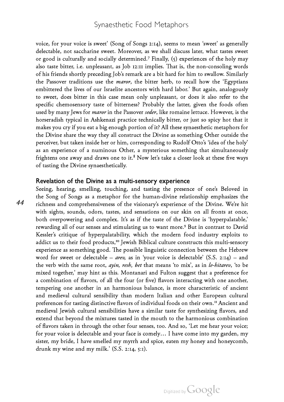voice, for your voice is sweet' (Song of Songs 2:14), seems to mean 'sweet' as generally delectable, not saccharine sweet. Moreover, as we shall discuss later, what tastes sweet or good is culturally and socially determined.7 Finally, (5) experiences of the holy may also taste bitter, i.e. unpleasant, as Job 12:11 implies. That is, the non-consoling words of his friends shortly preceding Job's remark are <sup>a</sup> bit hard for him to swallow. Similarly the Passover traditions use the *maror*, the bitter herb, to recall how the 'Egyptians' embittered the lives of our Israelite ancestors with hard labor.' But again, analogously to sweet, does bitter in this case mean only unpleasant, or does it also refer to the specific chemosensory taste of bitterness? Probably the latter, given the foods often used by many Jews for *maror* in the Passover seder, like romaine lettuce. However, is the horseradish typical in Ashkenazi practice technically bitter, or just so spicy hot that it makes you cry if you eat a big enough portion of it? All these synaesthetic metaphors for the Divine share the way they all construct the Divine as something Other outside the perceiver, but taken inside her or him, corresponding to Rudolf Otto's 'idea of the holy' as an experience of <sup>a</sup> numinous Other, <sup>a</sup> mysterious something that simultaneously frightens one away and draws one to it. $8$  Now let's take a closer look at these five ways of tasting the Divine synaesthetically.

### Revelation of the Divine as a multi-sensory experience

Seeing, hearing, smelling, touching, and tasting the presence of one's Beloved in the Song of Songs as <sup>a</sup> metaphor for the human-divine relationship emphasizes the richness and comprehensiveness of the visionary's experience of the Divine. We're hit with sights, sounds, odors, tastes, and sensations on our skin on all fronts at once, both overpowering and complex. It's as if the taste of the Divine is 'hyperpalatable,' rewarding all of our senses and stimulating us to want more.<sup>9</sup> But in contrast to David Kessler's critique of hyperpalatability, which the modern food industry exploits to addict us to their food products,<sup>10</sup> Jewish Biblical culture constructs this multi-sensory experience as something good. The possible linguistic connection between the Hebrew word for sweet or delectable – *arev*, as in 'your voice is delectable' (S.S. 2:14) – and the verb with the same root, ayin, resh, bet that means 'to mix', as in le-hitarev, 'to be mixed together,' may hint as this. Montanari and Fulton suggest that <sup>a</sup> preference for a combination of flavors, of all the four (or five) flavors interacting with one another, tempering one another in an harmonious balance, is more characteristic of ancient and medieval cultural sensibility than modern Italian and other European cultural preferences for tasting distinctive flavors of individual foods on their own.11 Ancient and medieval Jewish cultural sensibilities have a similar taste for synthesizing flavors, and extend that beyond the mixtures tasted in the mouth to the harmonious combination of flavors taken in through the other four senses, too. And so, 'Let me hear your voice; for your voice is delectable and your face is comely… <sup>I</sup> have come into my garden, my sister, my bride, <sup>I</sup> have smelled my myrrh and spice, eaten my honey and honeycomb, drunk my wine and my milk.' (S.S. 2:14, 5:1).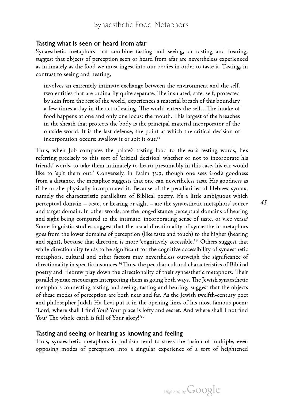#### Tasting what is seen or heard from afar

Synaesthetic metaphors that combine tasting and seeing, or tasting and hearing, suggest that objects of perception seen or heard from afar are nevertheless experienced as intimately as the food we must ingest into our bodies in order to taste it. Tasting, in contrast to seeing and hearing,

involves an extremely intimate exchange between the environment and the self, two entities that are ordinarily quite separate. The insulated, safe, self, protected by skin from the rest of the world, experiences a material breach of this boundary a few times a day in the act of eating. The world enters the self…The intake of food happens at one and only one locus: the mouth. This largest of the breaches in the sheath that protects the body is the principal material incorporator of the outside world. It is the last defense, the point at which the critical decision of incorporation occurs: swallow it or spit it out.<sup>12</sup>

Thus, when Job compares the palate's tasting food to the ear's testing words, he's referring precisely to this sort of 'critical decision' whether or not to incorporate his friends' words, to take them intimately to heart; presumably in this case, his ear would like to 'spit them out.' Conversely, in Psalm 33:9, though one sees God's goodness from a distance, the metaphor suggests that one can nevertheless taste His goodness as if he or she physically incorporated it. Because of the peculiarities of Hebrew syntax, namely the characteristic parallelism of Biblical poetry, it's a little ambiguous which perceptual domain – taste, or hearing or sight – are the synaesthetic metaphors' source and target domain. In other words, are the long-distance perceptual domains of hearing and sight being compared to the intimate, incorporating sense of taste, or vice versa?<br>Some linguistic studies suggest that the usual directionality of synaesthetic metaphors goes from the lower domains of perception (like taste and touch) to the higher (hearing and sight), because that direction is more 'cognitively accessible.'<sup>13</sup> Others suggest that while directionality tends to be significant for the cognitive accessibility of synaesthetic metaphors, cultural and other factors may nevertheless outweigh the significance of directionality in specific instances.<sup>14</sup> Thus, the peculiar cultural characteristics of Biblical poetry and Hebrew play down the directionality of their synaesthetic metaphors. Their parallel syntax encourages interpreting them as going both ways. The Jewish synaesthetic metaphors connecting tasting and seeing, tasting and hearing, suggest that the objects of these modes of perception are both near and far. As the Jewish twelfth-century poet and philosopher Judah Ha-Levi put it in the opening lines of his most famous poem: 'Lord, where shall <sup>I</sup> find You? Your place is lofty and secret. And where shall <sup>I</sup> not find You? The whole earth is full of Your glory!'<sup>15</sup>

### Tasting and seeing or hearing as knowing and feeling

Thus, synaesthetic metaphors in Judaism tend to stress the fusion of multiple, even opposing modes of perception into <sup>a</sup> singular experience of <sup>a</sup> sort of heightened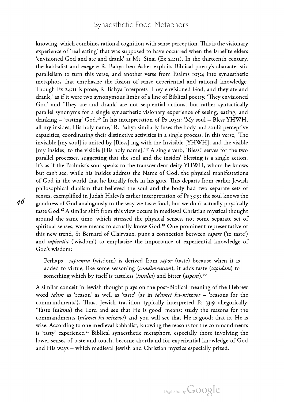knowing, which combines rational cognition with sense perception. This is the visionary experience of 'real eating' that was supposed to have occurred when the Israelite elders 'envisioned God and ate and drank' at Mt. Sinai (Ex 24:11). In the thirteenth century, the kabbalist and exegete R. Bahya ben Asher exploits Biblical poetry's characteristic parallelism to turn this verse, and another verse from Psalms 103:4 into synaesthetic metaphors that emphasize the fusion of sense experiential and rational knowledge. Though Ex 24:11 is prose, R. Bahya interprets 'They envisioned God, and they ate and drank,' as if it were two synonymous limbs of <sup>a</sup> line of Biblical poetry. 'They envisioned God' and 'They ate and drank' are not sequential actions, but rather syntactically parallel synonyms for a single synaesthetic visionary experience of seeing, eating, and drinking – 'tasting' God.<sup>16</sup> In his interpretation of Ps 103:1: 'My soul – Bless YHWH, all my insides, His holy name,' R. Bahya similarly fuses the body and soul's perceptive capacities, coordinating their distinctive activities in a single process. In this verse, 'The invisible [my soul] is united by [Bless] ing with the Invisible [YHWH], and the visible [my insides] to the visible [His holy name].'<sup>17</sup> A single verb, 'Bless!' serves for the two parallel processes, suggesting that the soul and the insides' blessing is a single action. It's as if the Psalmist's soul speaks to the transcendent deity YHWH, whom he knows but can't see, while his insides address the Name of God, the physical manifestations of God in the world that he literally feels in his guts. This departs from earlier Jewish philosophical dualism that believed the soul and the body had two separate sets of senses, exemplified in Judah Halevi's earlier interpretation of Ps 33:9: the soul knows the goodness of God analogously to the way we taste food, but we don't actually physically taste God.<sup>18</sup> A similar shift from this view occurs in medieval Christian mystical thought around the same time, which stressed the physical senses, not some separate set of spiritual senses, were means to actually know God.<sup>19</sup> One prominent representative of this new trend, St Bernard of Clairvaux, puns a connection between sapere ('to taste') and *sapientia* ('wisdom') to emphasize the importance of experiential knowledge of God's wisdom:

Perhaps...sapientia (wisdom) is derived from sapor (taste) because when it is added to virtue, like some seasoning (condimentum), it adds taste (sapidam) to something which by itself is tasteless (insulsa) and bitter (aspera).<sup>20</sup>

A similar conceit in Jewish thought plays on the post-Biblical meaning of the Hebrew word ta'am as 'reason' as well as 'taste' (as in ta'amei ha-mitzvot - 'reasons for the commandments'). Thus, Jewish tradition typically interpreted Ps 33:9 allegorically. 'Taste  $(ta'amu)$  the Lord and see that He is good' means: study the reasons for the commandments (ta'amei ha-mitzvot) and you will see that He is good; that is, He is wise. According to one medieval kabbalist, knowing the reasons for the commandments is 'tasty' experience.<sup>21</sup> Biblical synaesthetic metaphors, especially those involving the lower senses of taste and touch, become shorthand for experiential knowledge of God and His ways – which medieval Jewish and Christian mystics especially prized.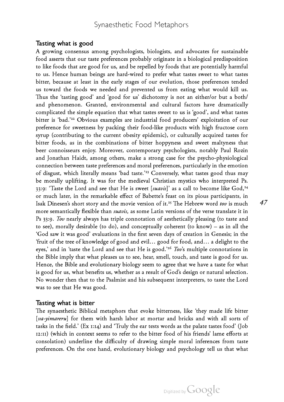### Tasting what is good

A growing consensus among psychologists, biologists, and advocates for sustainable food asserts that our taste preferences probably originate in a biological predisposition to like foods that are good for us, and be repelled by foods that are potentially harmful to us. Hence human beings are hard-wired to prefer what tastes sweet to what tastes bitter, because at least in the early stages of our evolution, those preferences tended us toward the foods we needed and prevented us from eating what would kill us. Thus the 'tasting good' and 'good for us' dichotomy is not an either/or but a both/ and phenomenon. Granted, environmental and cultural factors have dramatically complicated the simple equation that what tastes sweet to us is 'good', and what tastes bitter is 'bad.'22 Obvious examples are industrial food producers' exploitation of our preference for sweetness by packing their food-like products with high fructose corn syrup (contributing to the current obesity epidemic), or culturally acquired tastes for bitter foods, as in the combinations of bitter hoppyness and sweet maltyness that beer connoisseurs enjoy. Moreover, contemporary psychologists, notably Paul Rozin and Jonathan Haidt, among others, make <sup>a</sup> strong case for the psycho-physiological connection between taste preferences and moral preferences, particularly in the emotion of disgust, which literally means 'bad taste.'23 Conversely, what tastes good thus may be morally uplifting. It was for the medieval Christian mystics who interpreted Ps. 33:9: 'Taste the Lord and see that He is sweet  $[suavis]'$  as a call to become like God,<sup>24</sup> or much later, in the remarkable effect of Babette's feast on its pious participants, in Isak Dinesen's short story and the movie version of it.<sup>25</sup> The Hebrew word tov is much more semantically flexible than *suavis*, as some Latin versions of the verse translate it in Ps 33:9. Tov nearly always has triple connotation of aesthetically pleasing (to taste and to see), morally desirable (to do), and conceptually coherent (to know) – as in all the 'God saw it was good' evaluations in the first seven days of creation in Genesis; in the 'fruit of the tree of knowledge of good and evil… good for food, and… <sup>a</sup> delight to the eyes,' and in 'taste the Lord and see that He is good.'<sup>26</sup> Tov's multiple connotations in the Bible imply that what pleases us to see, hear, smell, touch, and taste is good for us. Hence, the Bible and evolutionary biology seem to agree that we have <sup>a</sup> taste for what is good for us, what benefits us, whether as a result of God's design or natural selection. No wonder then that to the Psalmist and his subsequent interpreters, to taste the Lord was to see that He was good.

#### Tasting what is bitter

The synaesthetic Biblical metaphors that evoke bitterness, like 'they made life bitter [va-yimareru] for them with harsh labor at mortar and bricks and with all sorts of tasks in the field.' (Ex 1:14) and 'Truly the ear tests words as the palate tastes food' (Job 12:11) (which in context seems to refer to the bitter food of his friends' lame efforts at consolation) underline the difficulty of drawing simple moral inferences from taste preferences. On the one hand, evolutionary biology and psychology tell us that what 47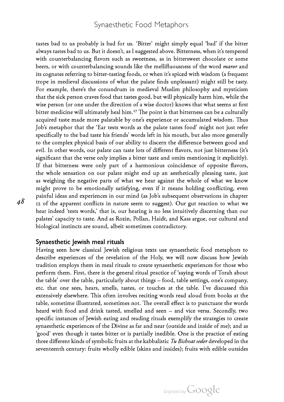tastes bad to us probably is bad for us. 'Bitter' might simply equal 'bad' if the bitter always tastes bad to us. But it doesn't, as <sup>I</sup> suggested above. Bitterness, when it's tempered with counterbalancing flavors such as sweetness, as in bittersweet chocolate or some beers, or with counterbalancing sounds like the mellifluousness of the word *maror* and its cognates referring to bitter-tasting foods, or when it's spiced with wisdom (a frequent trope in medieval discussions of what the palate finds unpleasant) might still be tasty. For example, there's the conundrum in medieval Muslim philosophy and mysticism that the sick person craves food that tastes good, but will physically harm him, while the wise person (or one under the direction of <sup>a</sup> wise doctor) knows that what seems at first bitter medicine will ultimately heal him.<sup>27</sup> The point is that bitterness can be a culturally acquired taste made more palatable by one's experience or accumulated wisdom. Thus Job's metaphor that the 'Ear tests words as the palate tastes food' might not just refer specifically to the bad taste his friends' words left in his mouth, but also more generally to the complex physical basis of our ability to discern the difference between good and evil. In other words, our palate can taste lots of different flavors, not just bitterness (it's significant that the verse only implies a bitter taste and omits mentioning it explicitly). If that bitterness were only part of a harmonious coincidence of opposite flavors, the whole sensation on our palate might end up an aesthetically pleasing taste, just as weighing the negative parts of what we hear against the whole of what we know might prove to be emotionally satisfying, even if it means holding conflicting, even painful ideas and experiences in our mind (as Job's subsequent observations in chapter <sup>12</sup> of the apparent conflicts in nature seem to suggest). Our gut reaction to what we hear indeed 'tests words,' that is, our hearing is no less intuitively discerning than our palates' capacity to taste. And as Rozin, Pollan, Haidt, and Kass argue, our cultural and biological instincts are sound, albeit sometimes contradictory.

#### Synaesthetic Jewish meal rituals

Having seen how classical Jewish religious texts use synaesthetic food metaphors to describe experiences of the revelation of the Holy, we will now discuss how Jewish tradition employs them in meal rituals to create synaesthetic experiences for those who perform them. First, there is the general ritual practice of 'saying words of Torah about the table' over the table, particularly about things – food, table settings, one's company, etc. that one sees, hears, smells, tastes, or touches at the table. I've discussed this extensively elsewhere. This often involves reciting words read aloud from books at the table, sometime illustrated, sometimes not. The overall effect is to punctuate the words heard with food and drink tasted, smelled and seen – and vice versa. Secondly, two specific instances of Jewish eating and reading rituals exemplify the strategies to create synaesthetic experiences of the Divine as far and near (outside and inside of me); and as 'good' even though it tastes bitter or is partially inedible. One is the practice of eating three different kinds of symbolic fruits at the kabbalistic  $Tu$  Bishvat seder developed in the seventeenth century: fruits wholly edible (skins and insides); fruits with edible outsides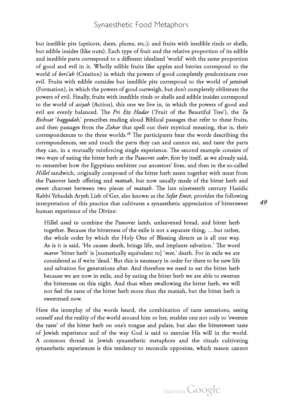but inedible pits (apricots, dates, plums, etc.); and fruits with inedible rinds or shells, but edible insides (like nuts). Each type of fruit and the relative proportion of its edible and inedible parts correspond to a different idealized 'world' with the same proportion of good and evil in it. Wholly edible fruits like apples and berries correspond to the world of *beri'ah* (Creation) in which the powers of good completely predominate over evil. Fruits with edible outsides but inedible pits correspond to the world of yetzirah (Formation), in which the powers of good outweigh, but don't completely obliterate the powers of evil. Finally, fruits with inedible rinds or shells and edible insides correspond to the world of asiyah (Action), this one we live in, in which the powers of good and evil are evenly balanced. The Pri Etz Hadar ('Fruit of the Beautiful Tree'), the Tu Bishvat 'haggadah,' prescribes reading aloud Biblical passages that refer to these fruits, and then passages from the Zohar that spell out their mystical meaning, that is, their correspondences to the three worlds.28 The participants hear the words describing the correspondences, see and touch the parts they can and cannot eat, and taste the parts they can, in a mutually reinforcing single experience. The second example consists of two ways of eating the bitter herb at the Passover seder, first by itself, as we already said, to remember how the Egyptians embitter our ancestors' lives, and then in the so-called Hillel sandwich, originally composed of the bitter herb eaten together with meat from the Passover lamb offering and *matzah*, but now usually made of the bitter herb and sweet charoset between two pieces of *matzah*. The late nineteenth century Hasidic Rabbi Yehudah Aryeh Lieb of Ger, also known as the Sefat Emet, provides the following interpretation of this practice that cultivates a synaesthetic appreciation of bittersweet human experience of the Divine:

Hillel used to combine the Passover lamb, unleavened bread, and bitter herb together. Because the bitterness of the exile is not <sup>a</sup> separate thing, …but rather, the whole order by which the Holy One of Blessing directs us is all one way. As is it is said, 'He causes death, brings life, and implants salvation.' The word maror 'bitter herb' is [numerically equivalent to] 'mot,' death. For in exile we are considered as if we're 'dead.' But this is necessary in order for there to be new life and salvation for generations after. And therefore we need to eat the bitter herb because we are now in exile, and by eating the bitter herb we are able to sweeten the bitterness on this night. And thus when swallowing the bitter herb, we will not feel the taste of the bitter herb more than the matzah, but the bitter herb is sweetened now.

Here the interplay of the words heard, the combination of taste sensations, seeing oneself and the reality of the world around him or her, enables one not only to 'sweeten the taste' of the bitter herb on one's tongue and palate, but also the bittersweet taste of Jewish experience and of the way God is said to exercise His will in the world. A common thread in Jewish synaesthetic metaphors and the rituals cultivating synaesthetic experiences is this tendency to reconcile opposites, which reason cannot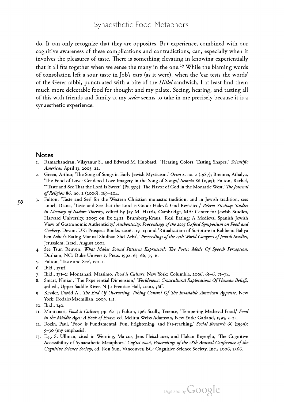do. It can only recognize that they are opposites. But experience, combined with our cognitive awareness of these complications and contradictions, can, especially when it involves the pleasures of taste. There is something elevating in knowing experientially that it all fits together when we sense the many in the one.<sup>29</sup> While the blaming words of consolation left a sour taste in Job's ears (as it were), when the 'ear tests the words' of the Gerer rabbi, punctuated with a bite of the Hillel sandwich, I at least find them<br>much more delectable food for thought and my palate. Seeing, hearing, and tasting all of this with friends and family at my *seder* seems to take in me precisely because it is a synaesthetic experience.

#### **Notes**

- . . . . .<br>1. Ramachandran, Vilayanur S., and Edward M. Hubbard, 'Hearing Colors, Tasting Shapes,' *Scientific* American April 13, 2003, 22.
- 2. Green, Arthur, 'The Song of Songs in Early Jewish Mysticism,' Orim 2, no. 2 (1987); Brenner, Athalya, 'The Food of Love: Gendered Love Imagery in the Song of Songs,' Semeia 86 (1999); Fulton, Rachel, "Taste and See That the Lord Is Sweet" (Ps. 33:9): The Flavor of God in the Monastic West,' The Journal of Religion 86, no. 2 (2006), 169–204.
- 3. Fulton, 'Taste and See' for the Western Christian monastic tradition; and in Jewish tradition, see: Lobel, Diana, 'Taste and See that the Lord is Good: Halevi's God Revisited,' Be'erot Yitzhaq: Studies in Memory of Isadore Twersky, edited by Jay M. Harris, Cambridge, MA: Center for Jewish Studies, Harvard University, 2005; on Ex 24:11, Brumberg-Kraus, 'Real Eating: A Medieval Spanish Jewish<br>View of Gastronomic Authenticity,' Authenticity: Proceedings of the 2005 Oxford Symposium on Food and Cookery, Devon, UK: Prospect Books, 2006, 119–131 and 'Ritualization of Scripture in Rabbenu Bahya ben Asher's Eating Manual Shulhan Shel Arba',' Proceedings of the 13th World Congress of Jewish Studies, Jerusalem, Israel, August 2001.
	- 4. See Tsur, Reuven, What Makes Sound Patterns Expressive?: The Poetic Mode Of Speech Perception, Durham, NC: Duke University Press, 1992. 63–66, 75–6.
	- Fulton, 'Taste and See', 170–1.
	- 6. Ibid., 171ff.
	- 7. Ibid., 171-2; Montanari, Massimo, Food is Culture, New York: Columbia, 2006, 61-6, 71-74.
	- .<br>8. Smart, Ninian, 'The Experiential Dimension,' *Worldviews: Crosscultural Explorations Of Human Belief*s, 3rd ed., Upper Saddle River, N.J.: Prentice Hall, 2000, 56ff.
	- 9. Kessler, David A., The End Of Overeating: Taking Control Of The Insatiable American Appetite, New York: Rodale/Macmillan, 2009, 141.
	- 10. Ibid., 140.
	- II. Montanari, *Food is Culture*, pp. 62–3; Fulton, 196; Scully, Terence, 'Tempering Medieval Food,' Food in the Middle Ages: A Book of Essays, ed. Melitta Weiss Adamson, New York: Garland, 1995, 3-24.
	- 12. Rozin, Paul, 'Food is Fundamental, Fun, Frightening, and Far-reaching,' Social Research 66 (1999): 9–30 (my emphasis).
	- 13. E.g. S. Ullman, cited in Werning, Marcus, Jens Fleischauer, and Hakan Beşeoğlu, 'The Cognitive Accessibility of Synaesthetic Metaphors,' CogSci 2006, Proceedings of the 28th Annual Conference of the Cognitive Science Society, ed. Ron Sun, Vancouver, BC: Cognitive Science Society, Inc., 2006, 2366.

50